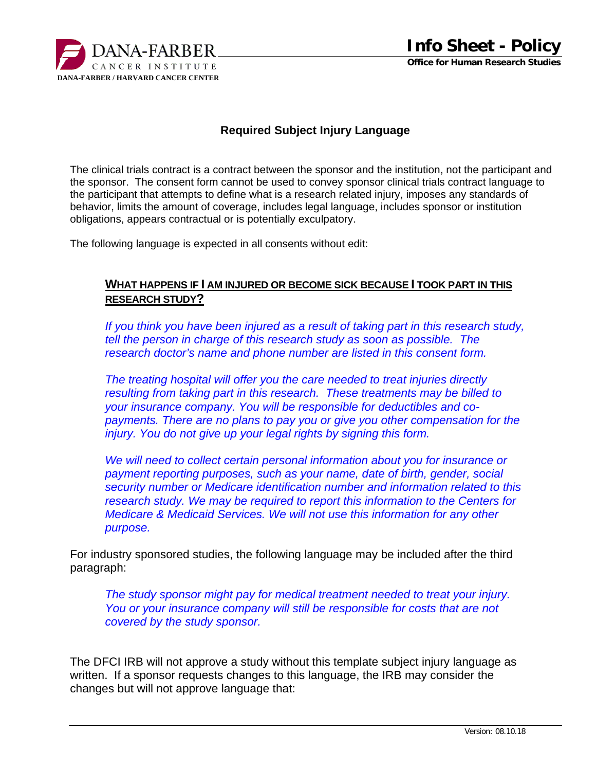

## **Required Subject Injury Language**

The clinical trials contract is a contract between the sponsor and the institution, not the participant and the sponsor. The consent form cannot be used to convey sponsor clinical trials contract language to the participant that attempts to define what is a research related injury, imposes any standards of behavior, limits the amount of coverage, includes legal language, includes sponsor or institution obligations, appears contractual or is potentially exculpatory.

The following language is expected in all consents without edit:

## **WHAT HAPPENS IF I AM INJURED OR BECOME SICK BECAUSE I TOOK PART IN THIS RESEARCH STUDY?**

*If you think you have been injured as a result of taking part in this research study, tell the person in charge of this research study as soon as possible. The research doctor's name and phone number are listed in this consent form.* 

*The treating hospital will offer you the care needed to treat injuries directly resulting from taking part in this research. These treatments may be billed to your insurance company. You will be responsible for deductibles and copayments. There are no plans to pay you or give you other compensation for the injury. You do not give up your legal rights by signing this form.* 

*We will need to collect certain personal information about you for insurance or payment reporting purposes, such as your name, date of birth, gender, social security number or Medicare identification number and information related to this research study. We may be required to report this information to the Centers for Medicare & Medicaid Services. We will not use this information for any other purpose.* 

For industry sponsored studies, the following language may be included after the third paragraph:

*The study sponsor might pay for medical treatment needed to treat your injury. You or your insurance company will still be responsible for costs that are not covered by the study sponsor.* 

The DFCI IRB will not approve a study without this template subject injury language as written. If a sponsor requests changes to this language, the IRB may consider the changes but will not approve language that: